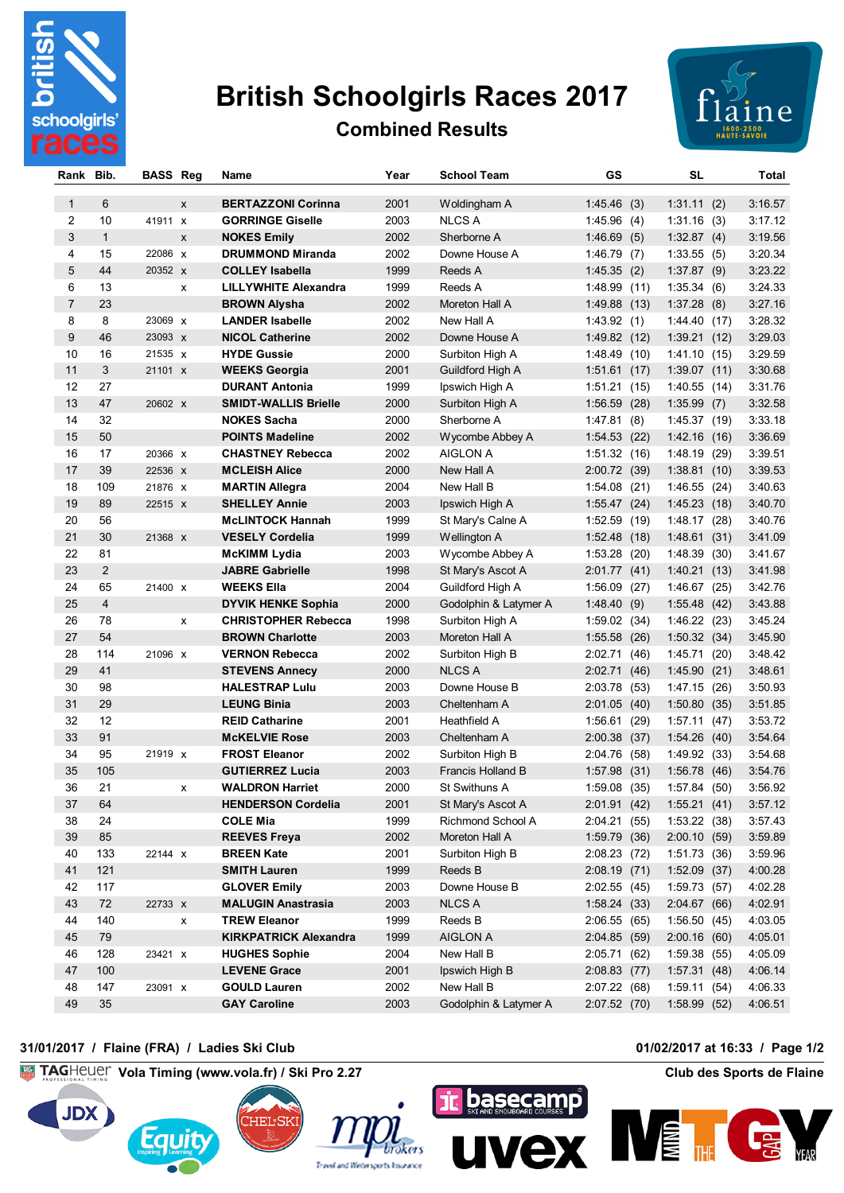

## **British Schoolgirls Races 2017**



## **Combined Results**

| Rank           | Bib.           | <b>BASS Reg</b> |   | Name                         | Year | <b>School Team</b>    | GS           | SL           |      | Total   |
|----------------|----------------|-----------------|---|------------------------------|------|-----------------------|--------------|--------------|------|---------|
|                |                |                 |   |                              |      |                       |              |              |      |         |
| $\mathbf{1}$   | 6              |                 | X | <b>BERTAZZONI Corinna</b>    | 2001 | Woldingham A          | 1:45.46(3)   | 1:31.11(2)   |      | 3:16.57 |
| 2              | 10             | 41911 x         |   | <b>GORRINGE Giselle</b>      | 2003 | <b>NLCS A</b>         | 1:45.96(4)   | 1:31.16(3)   |      | 3:17.12 |
| 3              | $\mathbf{1}$   |                 | X | <b>NOKES Emily</b>           | 2002 | Sherborne A           | 1:46.69(5)   | 1:32.87(4)   |      | 3:19.56 |
| 4              | 15             | 22086 x         |   | <b>DRUMMOND Miranda</b>      | 2002 | Downe House A         | 1:46.79(7)   | 1:33.55(5)   |      | 3:20.34 |
| 5              | 44             | 20352 X         |   | <b>COLLEY Isabella</b>       | 1999 | Reeds A               | 1:45.35(2)   | 1:37.87(9)   |      | 3:23.22 |
| 6              | 13             |                 | x | <b>LILLYWHITE Alexandra</b>  | 1999 | Reeds A               | 1:48.99(11)  | 1:35.34(6)   |      | 3:24.33 |
| $\overline{7}$ | 23             |                 |   | <b>BROWN Alysha</b>          | 2002 | Moreton Hall A        | 1:49.88(13)  | 1:37.28(8)   |      | 3:27.16 |
| 8              | 8              | 23069 X         |   | <b>LANDER Isabelle</b>       | 2002 | New Hall A            | 1:43.92(1)   | 1:44.40(17)  |      | 3:28.32 |
| 9              | 46             | 23093 X         |   | <b>NICOL Catherine</b>       | 2002 | Downe House A         | 1:49.82(12)  | 1:39.21(12)  |      | 3:29.03 |
| 10             | 16             | 21535 x         |   | <b>HYDE Gussie</b>           | 2000 | Surbiton High A       | 1:48.49(10)  | 1:41.10(15)  |      | 3:29.59 |
| 11             | 3              | 21101 X         |   | <b>WEEKS Georgia</b>         | 2001 | Guildford High A      | 1:51.61(17)  | 1:39.07(11)  |      | 3:30.68 |
| 12             | 27             |                 |   | <b>DURANT Antonia</b>        | 1999 | Ipswich High A        | 1:51.21(15)  | 1:40.55(14)  |      | 3:31.76 |
| 13             | 47             | 20602 X         |   | <b>SMIDT-WALLIS Brielle</b>  | 2000 | Surbiton High A       | 1:56.59(28)  | 1:35.99(7)   |      | 3:32.58 |
| 14             | 32             |                 |   | <b>NOKES Sacha</b>           | 2000 | Sherborne A           | 1:47.81(8)   | 1:45.37(19)  |      | 3:33.18 |
| 15             | 50             |                 |   | <b>POINTS Madeline</b>       | 2002 | Wycombe Abbey A       | 1:54.53(22)  | 1:42.16(16)  |      | 3:36.69 |
| 16             | 17             | 20366 X         |   | <b>CHASTNEY Rebecca</b>      | 2002 | AIGLON A              | 1:51.32(16)  | 1:48.19(29)  |      | 3:39.51 |
| 17             | 39             | 22536 x         |   | <b>MCLEISH Alice</b>         | 2000 | New Hall A            | 2:00.72 (39) | 1:38.81(10)  |      | 3:39.53 |
| 18             | 109            | 21876 X         |   | <b>MARTIN Allegra</b>        | 2004 | New Hall B            | 1:54.08(21)  | 1:46.55(24)  |      | 3:40.63 |
| 19             | 89             | 22515 X         |   | <b>SHELLEY Annie</b>         | 2003 | Ipswich High A        | 1:55.47(24)  | 1:45.23(18)  |      | 3:40.70 |
| 20             | 56             |                 |   | <b>McLINTOCK Hannah</b>      | 1999 | St Mary's Calne A     | 1:52.59(19)  | 1:48.17(28)  |      | 3:40.76 |
| 21             | 30             | 21368 X         |   | <b>VESELY Cordelia</b>       | 1999 | Wellington A          | 1:52.48(18)  | 1:48.61(31)  |      | 3:41.09 |
| 22             | 81             |                 |   | <b>McKIMM Lydia</b>          | 2003 | Wycombe Abbey A       | 1:53.28(20)  | 1:48.39(30)  |      | 3:41.67 |
| 23             | 2              |                 |   | <b>JABRE Gabrielle</b>       | 1998 | St Mary's Ascot A     | 2:01.77(41)  | 1:40.21      | (13) | 3:41.98 |
| 24             | 65             | 21400 X         |   | <b>WEEKS Ella</b>            | 2004 | Guildford High A      | 1:56.09(27)  | 1:46.67(25)  |      | 3:42.76 |
| 25             | $\overline{4}$ |                 |   | <b>DYVIK HENKE Sophia</b>    | 2000 | Godolphin & Latymer A | 1:48.40(9)   | 1:55.48(42)  |      | 3:43.88 |
| 26             | 78             |                 | x | <b>CHRISTOPHER Rebecca</b>   | 1998 | Surbiton High A       | 1:59.02(34)  | 1:46.22(23)  |      | 3:45.24 |
| 27             | 54             |                 |   | <b>BROWN Charlotte</b>       | 2003 | Moreton Hall A        | 1:55.58(26)  | 1:50.32(34)  |      | 3:45.90 |
| 28             | 114            | 21096 x         |   | <b>VERNON Rebecca</b>        | 2002 | Surbiton High B       | 2:02.71 (46) | 1:45.71(20)  |      | 3:48.42 |
| 29             | 41             |                 |   | <b>STEVENS Annecy</b>        | 2000 | <b>NLCS A</b>         | 2:02.71(46)  | 1:45.90(21)  |      | 3:48.61 |
| 30             | 98             |                 |   | <b>HALESTRAP Lulu</b>        | 2003 | Downe House B         | 2:03.78 (53) | 1:47.15(26)  |      | 3:50.93 |
| 31             | 29             |                 |   | <b>LEUNG Binia</b>           | 2003 | Cheltenham A          | 2:01.05(40)  | 1:50.80(35)  |      | 3:51.85 |
| 32             | 12             |                 |   | <b>REID Catharine</b>        | 2001 | Heathfield A          | 1:56.61(29)  | 1:57.11(47)  |      | 3:53.72 |
| 33             | 91             |                 |   | <b>McKELVIE Rose</b>         | 2003 | Cheltenham A          | 2:00.38(37)  | 1:54.26(40)  |      | 3:54.64 |
| 34             | 95             | 21919 X         |   | <b>FROST Eleanor</b>         | 2002 | Surbiton High B       | 2:04.76 (58) | 1:49.92 (33) |      | 3:54.68 |
| 35             | 105            |                 |   | <b>GUTIERREZ Lucia</b>       | 2003 | Francis Holland B     | 1:57.98(31)  | 1:56.78(46)  |      | 3:54.76 |
| 36             | 21             |                 | x | <b>WALDRON Harriet</b>       | 2000 | <b>St Swithuns A</b>  | 1:59.08(35)  | 1:57.84(50)  |      | 3:56.92 |
| 37             | 64             |                 |   | <b>HENDERSON Cordelia</b>    | 2001 | St Mary's Ascot A     | 2:01.91(42)  | 1:55.21(41)  |      | 3:57.12 |
| 38             | 24             |                 |   | <b>COLE Mia</b>              | 1999 | Richmond School A     | 2:04.21 (55) | 1:53.22(38)  |      | 3:57.43 |
| 39             | 85             |                 |   | <b>REEVES Freya</b>          | 2002 | Moreton Hall A        | 1:59.79(36)  | 2:00.10(59)  |      | 3:59.89 |
| 40             | 133            | 22144 x         |   | <b>BREEN Kate</b>            | 2001 | Surbiton High B       | 2:08.23(72)  | 1:51.73(36)  |      | 3:59.96 |
| 41             | 121            |                 |   | <b>SMITH Lauren</b>          | 1999 | Reeds B               | 2:08.19(71)  | 1:52.09(37)  |      | 4:00.28 |
| 42             | 117            |                 |   | <b>GLOVER Emily</b>          | 2003 | Downe House B         | 2:02.55(45)  | 1:59.73 (57) |      | 4:02.28 |
| 43             | 72             | 22733 x         |   | <b>MALUGIN Anastrasia</b>    | 2003 | <b>NLCS A</b>         | 1:58.24(33)  | 2:04.67(66)  |      | 4:02.91 |
| 44             | 140            |                 | x | <b>TREW Eleanor</b>          | 1999 | Reeds B               | 2:06.55 (65) | 1:56.50(45)  |      | 4:03.05 |
| 45             | 79             |                 |   | <b>KIRKPATRICK Alexandra</b> | 1999 | AIGLON A              | 2:04.85(59)  | 2:00.16(60)  |      | 4:05.01 |
| 46             | 128            | 23421 X         |   | <b>HUGHES Sophie</b>         | 2004 | New Hall B            | 2:05.71 (62) | 1:59.38(55)  |      | 4:05.09 |
| 47             | 100            |                 |   | <b>LEVENE Grace</b>          | 2001 | Ipswich High B        | 2:08.83 (77) | 1:57.31(48)  |      | 4:06.14 |
| 48             | 147            | 23091 x         |   | <b>GOULD Lauren</b>          | 2002 | New Hall B            | 2:07.22 (68) | 1:59.11(54)  |      | 4:06.33 |
| 49             | 35             |                 |   | <b>GAY Caroline</b>          | 2003 | Godolphin & Latymer A | 2:07.52 (70) | 1:58.99(52)  |      | 4:06.51 |
|                |                |                 |   |                              |      |                       |              |              |      |         |

## **31/01/2017 / Flaine (FRA) / Ladies Ski Club 01/02/2017 at 16:33 / Page 1/2**

**Vola Timing (www.vola.fr) / Ski Pro 2.27 Club des Sports de Flaine**